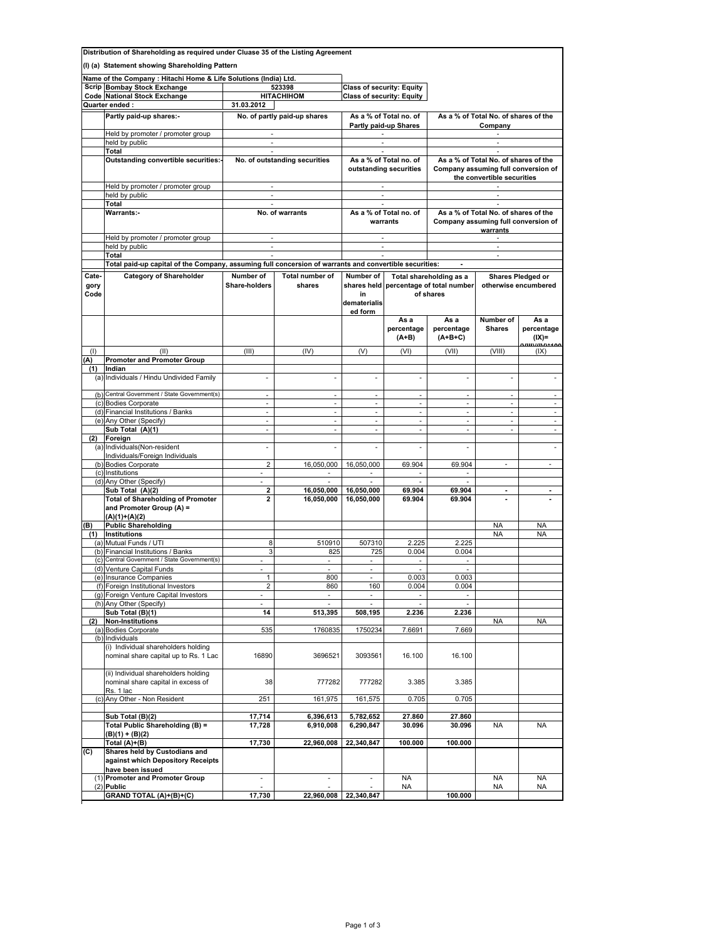| Distribution of Shareholding as required under Cluase 35 of the Listing Agreement |                                                                                                        |                                |                                     |                                                  |                                  |                                                                             |                                |                            |  |
|-----------------------------------------------------------------------------------|--------------------------------------------------------------------------------------------------------|--------------------------------|-------------------------------------|--------------------------------------------------|----------------------------------|-----------------------------------------------------------------------------|--------------------------------|----------------------------|--|
|                                                                                   | (I) (a) Statement showing Shareholding Pattern                                                         |                                |                                     |                                                  |                                  |                                                                             |                                |                            |  |
|                                                                                   | Name of the Company : Hitachi Home & Life Solutions (India) Ltd.                                       |                                |                                     |                                                  |                                  |                                                                             |                                |                            |  |
|                                                                                   | <b>Scrip Bombay Stock Exchange</b>                                                                     | 523398                         |                                     |                                                  | <b>Class of security: Equity</b> |                                                                             |                                |                            |  |
|                                                                                   | <b>Code National Stock Exchange</b>                                                                    |                                | <b>HITACHIHOM</b>                   | <b>Class of security: Equity</b>                 |                                  |                                                                             |                                |                            |  |
|                                                                                   | Quarter ended:                                                                                         | 31.03.2012                     |                                     |                                                  |                                  |                                                                             |                                |                            |  |
|                                                                                   | Partly paid-up shares:-                                                                                | No. of partly paid-up shares   |                                     | As a % of Total no. of                           |                                  | As a % of Total No. of shares of the                                        |                                |                            |  |
|                                                                                   | Held by promoter / promoter group                                                                      |                                |                                     | Partly paid-up Shares<br>٠                       |                                  | Company                                                                     |                                |                            |  |
|                                                                                   | held by public                                                                                         | <b>Service Control</b>         |                                     | $\sim$                                           |                                  | $\sim$                                                                      |                                |                            |  |
|                                                                                   | Total                                                                                                  | $\sim$                         |                                     |                                                  |                                  |                                                                             |                                |                            |  |
|                                                                                   | Outstanding convertible securities:-                                                                   |                                | No. of outstanding securities       | As a % of Total no. of<br>outstanding securities |                                  | As a % of Total No. of shares of the<br>Company assuming full conversion of |                                |                            |  |
|                                                                                   |                                                                                                        |                                |                                     |                                                  |                                  | the convertible securities                                                  |                                |                            |  |
|                                                                                   | Held by promoter / promoter group                                                                      |                                |                                     |                                                  |                                  |                                                                             |                                |                            |  |
|                                                                                   | held by public                                                                                         | $\sim$                         |                                     | $\sim$                                           |                                  |                                                                             |                                |                            |  |
|                                                                                   | Total<br>Warrants:-                                                                                    | No. of warrants                |                                     | As a % of Total no. of                           |                                  | As a % of Total No. of shares of the                                        |                                |                            |  |
|                                                                                   |                                                                                                        |                                |                                     | warrants                                         |                                  | Company assuming full conversion of                                         |                                |                            |  |
|                                                                                   |                                                                                                        |                                |                                     |                                                  |                                  | warrants                                                                    |                                |                            |  |
|                                                                                   | Held by promoter / promoter group                                                                      | $\sim$                         |                                     | $\sim$                                           |                                  |                                                                             | $\sim$                         |                            |  |
|                                                                                   | held by public<br>Total                                                                                | $\mathcal{L}_{\mathcal{A}}$    |                                     | $\overline{\phantom{a}}$                         |                                  | $\sim$                                                                      |                                |                            |  |
|                                                                                   | Total paid-up capital of the Company, assuming full concersion of warrants and convertible securities: |                                |                                     |                                                  |                                  |                                                                             |                                |                            |  |
| Cate-                                                                             | <b>Category of Shareholder</b>                                                                         | Number of                      | <b>Total number of</b>              | Number of                                        |                                  | Total shareholding as a                                                     |                                | Shares Pledged or          |  |
| gory                                                                              |                                                                                                        | <b>Share-holders</b>           | shares                              |                                                  |                                  | shares held percentage of total number                                      | otherwise encumbered           |                            |  |
| Code                                                                              |                                                                                                        |                                |                                     | in                                               |                                  | of shares                                                                   |                                |                            |  |
|                                                                                   |                                                                                                        |                                |                                     | dematerialis<br>ed form                          |                                  |                                                                             |                                |                            |  |
|                                                                                   |                                                                                                        |                                |                                     |                                                  | As a                             | As a                                                                        | Number of                      | As a                       |  |
|                                                                                   |                                                                                                        |                                |                                     |                                                  | percentage                       | percentage                                                                  | <b>Shares</b>                  | percentage                 |  |
|                                                                                   |                                                                                                        |                                |                                     |                                                  | $(A+B)$                          | $(A+B+C)$                                                                   |                                | $(IX)=$<br>1/111//11/1*400 |  |
| (1)                                                                               | (II)                                                                                                   | (III)                          | (IV)                                | (V)                                              | (VI)                             | (VII)                                                                       | (VIII)                         | (IX)                       |  |
| (A)                                                                               | <b>Promoter and Promoter Group</b><br>Indian                                                           |                                |                                     |                                                  |                                  |                                                                             |                                |                            |  |
| (1)                                                                               | (a) Individuals / Hindu Undivided Family                                                               |                                |                                     | ×.                                               |                                  | ÷                                                                           |                                |                            |  |
|                                                                                   |                                                                                                        |                                |                                     |                                                  |                                  |                                                                             |                                |                            |  |
|                                                                                   | (b) Central Government / State Government(s)                                                           |                                | ×,                                  | $\overline{\phantom{a}}$                         | ä,                               | $\overline{\phantom{a}}$                                                    | ÷,                             | ×                          |  |
|                                                                                   | (c) Bodies Corporate<br>(d) Financial Institutions / Banks                                             | ä,<br>$\overline{\phantom{a}}$ | ×.<br>$\overline{\phantom{a}}$      | ÷.<br>$\mathcal{L}_{\mathcal{A}}$                | ä,<br>ä,                         | $\mathcal{L}_{\mathcal{A}}$<br>$\overline{\phantom{a}}$                     | ä,<br>$\overline{\phantom{a}}$ | $\overline{\phantom{a}}$   |  |
|                                                                                   | (e) Any Other (Specify)                                                                                | $\mathcal{L}_{\mathcal{A}}$    |                                     | ÷.                                               | $\mathcal{L}_{\mathcal{A}}$      | ÷.                                                                          | $\mathcal{L}_{\mathcal{A}}$    | ×.                         |  |
|                                                                                   | Sub Total (A)(1)                                                                                       | ä,                             | ×,                                  | $\sim$                                           | $\overline{\phantom{a}}$         | $\mathcal{L}_{\mathcal{A}}$                                                 | ä,                             | $\overline{\phantom{a}}$   |  |
| (2)                                                                               | Foreign                                                                                                |                                |                                     |                                                  |                                  |                                                                             |                                |                            |  |
|                                                                                   | (a) Individuals (Non-resident<br>Individuals/Foreign Individuals                                       | ä,                             | ×,                                  | $\overline{\phantom{a}}$                         | $\overline{\phantom{a}}$         | $\overline{\phantom{a}}$                                                    |                                | $\overline{\phantom{a}}$   |  |
|                                                                                   | (b) Bodies Corporate                                                                                   | $\overline{2}$                 | 16,050,000                          | 16,050,000                                       | 69.904                           | 69.904                                                                      | ä,                             |                            |  |
|                                                                                   | (c) Institutions                                                                                       | $\overline{\phantom{a}}$       | $\sim$                              | $\sim$                                           | $\overline{\phantom{a}}$         | $\sim$                                                                      |                                |                            |  |
|                                                                                   | (d) Any Other (Specify)                                                                                | ÷.                             | a.                                  |                                                  |                                  |                                                                             |                                |                            |  |
|                                                                                   | Sub Total (A)(2)<br><b>Total of Shareholding of Promoter</b>                                           | 2<br>$\mathbf{2}$              | 16,050,000<br>16,050,000            | 16,050,000<br>16,050,000                         | 69.904<br>69.904                 | 69.904<br>69.904                                                            | $\blacksquare$                 | $\blacksquare$             |  |
|                                                                                   | and Promoter Group (A) =                                                                               |                                |                                     |                                                  |                                  |                                                                             |                                |                            |  |
|                                                                                   | $(A)(1)+(A)(2)$                                                                                        |                                |                                     |                                                  |                                  |                                                                             |                                |                            |  |
| (B)<br>(1)                                                                        | <b>Public Shareholding</b><br>Institutions                                                             |                                |                                     |                                                  |                                  |                                                                             | <b>NA</b><br><b>NA</b>         | <b>NA</b><br><b>NA</b>     |  |
|                                                                                   | (a) Mutual Funds / UTI                                                                                 | 8                              | 510910                              | 507310                                           | 2.225                            | 2.225                                                                       |                                |                            |  |
|                                                                                   | (b) Financial Institutions / Banks                                                                     | 3                              | 825                                 | 725                                              | 0.004                            | 0.004                                                                       |                                |                            |  |
|                                                                                   | (c) Central Government / State Government(s)                                                           |                                |                                     |                                                  |                                  |                                                                             |                                |                            |  |
|                                                                                   | (d) Venture Capital Funds<br>(e) Insurance Companies                                                   | $\blacksquare$                 | $\sim$<br>800                       | $\sim$                                           | $\sim$<br>0.003                  | $\overline{\phantom{a}}$<br>0.003                                           |                                |                            |  |
|                                                                                   | (f) Foreign Institutional Investors                                                                    | 2                              | 860                                 | 160                                              | 0.004                            | 0.004                                                                       |                                |                            |  |
|                                                                                   | (g) Foreign Venture Capital Investors                                                                  | L,                             | ×,                                  | $\sim$                                           |                                  |                                                                             |                                |                            |  |
|                                                                                   | (h) Any Other (Specify)<br>Sub Total (B)(1)                                                            | 14                             | $\overline{\phantom{a}}$<br>513,395 | $\overline{\phantom{a}}$<br>508,195              | 2.236                            | 2.236                                                                       |                                |                            |  |
| (2)                                                                               | <b>Non-Institutions</b>                                                                                |                                |                                     |                                                  |                                  |                                                                             | NA                             | NA                         |  |
|                                                                                   | (a) Bodies Corporate                                                                                   | 535                            | 1760835                             | 1750234                                          | 7.6691                           | 7.669                                                                       |                                |                            |  |
|                                                                                   | (b) Individuals                                                                                        |                                |                                     |                                                  |                                  |                                                                             |                                |                            |  |
|                                                                                   | (i) Individual shareholders holding<br>nominal share capital up to Rs. 1 Lac                           | 16890                          | 3696521                             | 3093561                                          | 16.100                           | 16.100                                                                      |                                |                            |  |
|                                                                                   |                                                                                                        |                                |                                     |                                                  |                                  |                                                                             |                                |                            |  |
|                                                                                   | (ii) Individual shareholders holding                                                                   |                                |                                     |                                                  |                                  |                                                                             |                                |                            |  |
|                                                                                   | nominal share capital in excess of                                                                     | 38                             | 777282                              | 777282                                           | 3.385                            | 3.385                                                                       |                                |                            |  |
|                                                                                   | Rs. 1 lac<br>(c) Any Other - Non Resident                                                              | 251                            | 161,975                             | 161,575                                          | 0.705                            | 0.705                                                                       |                                |                            |  |
|                                                                                   |                                                                                                        |                                |                                     |                                                  |                                  |                                                                             |                                |                            |  |
|                                                                                   | Sub Total (B)(2)                                                                                       | 17,714                         | 6,396,613                           | 5,782,652                                        | 27.860                           | 27.860                                                                      |                                |                            |  |
|                                                                                   | Total Public Shareholding (B) =                                                                        | 17,728                         | 6,910,008                           | 6,290,847                                        | 30.096                           | 30.096                                                                      | NA                             | <b>NA</b>                  |  |
|                                                                                   | (B)(1) + (B)(2)<br>Total (A)+(B)                                                                       | 17,730                         | 22,960,008                          | 22,340,847                                       | 100.000                          | 100.000                                                                     |                                |                            |  |
| (C)                                                                               | Shares held by Custodians and                                                                          |                                |                                     |                                                  |                                  |                                                                             |                                |                            |  |
|                                                                                   | against which Depository Receipts                                                                      |                                |                                     |                                                  |                                  |                                                                             |                                |                            |  |
|                                                                                   | have been issued<br>(1) Promoter and Promoter Group                                                    | ÷                              | ٠                                   | ٠                                                | <b>NA</b>                        |                                                                             | NA                             | NA                         |  |
|                                                                                   | $(2)$ Public                                                                                           |                                |                                     |                                                  | NA                               |                                                                             | NA                             | ΝA                         |  |
|                                                                                   | GRAND TOTAL (A)+(B)+(C)                                                                                | 17,730                         | 22,960,008                          | 22,340,847                                       |                                  | 100.000                                                                     |                                |                            |  |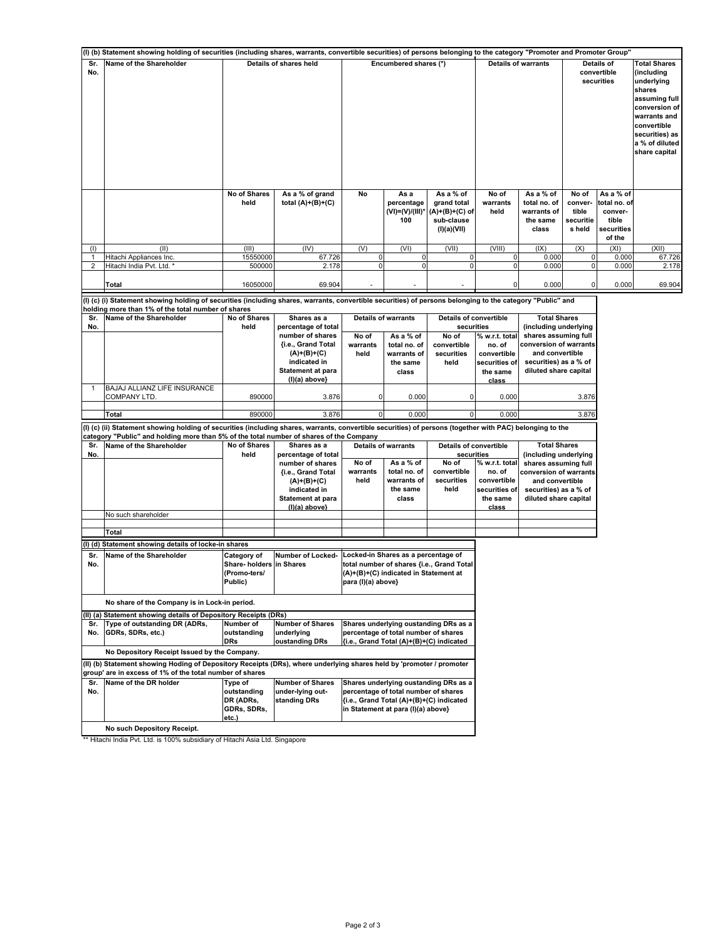|                | (I) (b) Statement showing holding of securities (including shares, warrants, convertible securities) of persons belonging to the category "Promoter and Promoter Group"          |                        |                                             |                       |                                              |                                                                         |                            |                                                               |                                                  |                                                                       |                                                                                                                                              |
|----------------|----------------------------------------------------------------------------------------------------------------------------------------------------------------------------------|------------------------|---------------------------------------------|-----------------------|----------------------------------------------|-------------------------------------------------------------------------|----------------------------|---------------------------------------------------------------|--------------------------------------------------|-----------------------------------------------------------------------|----------------------------------------------------------------------------------------------------------------------------------------------|
| Sr.<br>No.     | Name of the Shareholder                                                                                                                                                          | Details of shares held |                                             | Encumbered shares (*) |                                              |                                                                         | <b>Details of warrants</b> |                                                               | Details of<br>convertible<br>securities          |                                                                       | <b>Total Shares</b><br>(including<br>underlying<br>shares<br>assuming full<br>conversion of<br>warrants and<br>convertible<br>securities) as |
|                |                                                                                                                                                                                  |                        |                                             |                       |                                              |                                                                         |                            |                                                               |                                                  |                                                                       | a % of diluted<br>share capital                                                                                                              |
|                |                                                                                                                                                                                  | No of Shares<br>held   | As a % of grand<br>total $(A)+(B)+(C)$      | No                    | As a<br>percentage<br>(VI)=(V)/(III)*<br>100 | As a % of<br>grand total<br>(A)+(B)+(C) of<br>sub-clause<br>(I)(a)(VII) | No of<br>warrants<br>held  | As a % of<br>total no. of<br>warrants of<br>the same<br>class | No of<br>conver-<br>tible<br>securitie<br>s held | As a % of<br>total no. of<br>conver-<br>tible<br>securities<br>of the |                                                                                                                                              |
| (1)            | (II)                                                                                                                                                                             | (III)                  | (IV)                                        | (V)                   | (VI)                                         | (VII)                                                                   | (VIII)                     | (IX)                                                          | (X)                                              | (XI)                                                                  | (XII)                                                                                                                                        |
| -1             | Hitachi Appliances Inc.                                                                                                                                                          | 15550000               | 67.726                                      | $\overline{0}$        | 0                                            | $\pmb{0}$                                                               | $\mathbf 0$                | 0.000                                                         | 0                                                | 0.000                                                                 | 67.726                                                                                                                                       |
| $\overline{2}$ | Hitachi India Pvt. Ltd. *                                                                                                                                                        | 500000                 | 2.178                                       |                       |                                              | C                                                                       | $\mathbf 0$                | 0.000                                                         |                                                  | 0.000                                                                 | 2.178                                                                                                                                        |
|                | Total                                                                                                                                                                            | 16050000               | 69.904                                      |                       |                                              |                                                                         | 0                          | 0.000                                                         |                                                  | 0.000                                                                 | 69.904                                                                                                                                       |
|                | (I) (c) (i) Statement showing holding of securities (including shares, warrants, convertible securities) of persons belonging to the category "Public" and                       |                        |                                             |                       |                                              |                                                                         |                            |                                                               |                                                  |                                                                       |                                                                                                                                              |
|                | holding more than 1% of the total number of shares                                                                                                                               |                        |                                             |                       |                                              |                                                                         |                            |                                                               |                                                  |                                                                       |                                                                                                                                              |
| Sr.            | Name of the Shareholder                                                                                                                                                          | <b>No of Shares</b>    | Shares as a                                 |                       | <b>Details of warrants</b>                   | <b>Details of convertible</b>                                           |                            | <b>Total Shares</b>                                           |                                                  |                                                                       |                                                                                                                                              |
| No.            |                                                                                                                                                                                  | held                   | percentage of total<br>number of shares     | No of                 | As a % of                                    | securities<br>No of                                                     | % w.r.t. total             | (including underlying<br>shares assuming full                 |                                                  |                                                                       |                                                                                                                                              |
|                |                                                                                                                                                                                  |                        | {i.e., Grand Total                          | warrants              | total no. of                                 | convertible                                                             | no. of                     | conversion of warrants                                        |                                                  |                                                                       |                                                                                                                                              |
|                |                                                                                                                                                                                  |                        | $(A)+(B)+(C)$                               | held                  | warrants of                                  | securities                                                              | convertible                | and convertible                                               |                                                  |                                                                       |                                                                                                                                              |
|                |                                                                                                                                                                                  |                        | indicated in                                |                       | the same                                     | held                                                                    | securities of              | securities) as a % of                                         |                                                  |                                                                       |                                                                                                                                              |
|                |                                                                                                                                                                                  |                        | <b>Statement at para</b><br>$(I)(a)$ above} |                       | class                                        |                                                                         | the same<br>class          | diluted share capital                                         |                                                  |                                                                       |                                                                                                                                              |
|                | BAJAJ ALLIANZ LIFE INSURANCE                                                                                                                                                     |                        |                                             |                       |                                              |                                                                         |                            |                                                               |                                                  |                                                                       |                                                                                                                                              |
|                | COMPANY LTD.                                                                                                                                                                     | 890000                 | 3.876                                       | $\Omega$              | 0.000                                        | 0                                                                       | 0.000                      |                                                               | 3.876                                            |                                                                       |                                                                                                                                              |
|                | <b>Total</b>                                                                                                                                                                     | 890000                 | 3.876                                       | $\overline{0}$        | 0.000                                        | $\mathbf 0$                                                             | 0.000                      |                                                               | 3.876                                            |                                                                       |                                                                                                                                              |
|                | (I) (c) (ii) Statement showing holding of securities (including shares, warrants, convertible securities) of persons (together with PAC) belonging to the                        |                        |                                             |                       |                                              |                                                                         |                            |                                                               |                                                  |                                                                       |                                                                                                                                              |
|                | category "Public" and holding more than 5% of the total number of shares of the Company                                                                                          |                        |                                             |                       |                                              |                                                                         |                            |                                                               |                                                  |                                                                       |                                                                                                                                              |
| Sr.            | Name of the Shareholder                                                                                                                                                          | No of Shares           | Shares as a                                 |                       | <b>Details of warrants</b>                   | Details of convertible                                                  |                            | <b>Total Shares</b>                                           |                                                  |                                                                       |                                                                                                                                              |
| No.            |                                                                                                                                                                                  | held                   | percentage of total<br>number of shares     | No of                 | As a % of                                    | securities<br>No of                                                     | % w.r.t. total             | (including underlying<br>shares assuming full                 |                                                  |                                                                       |                                                                                                                                              |
|                |                                                                                                                                                                                  |                        | {i.e., Grand Total                          | warrants              | total no. of                                 | convertible                                                             | no. of                     | conversion of warrants                                        |                                                  |                                                                       |                                                                                                                                              |
|                |                                                                                                                                                                                  |                        | $(A)+(B)+(C)$                               | held                  | warrants of                                  | securities                                                              | convertible                | and convertible                                               |                                                  |                                                                       |                                                                                                                                              |
|                |                                                                                                                                                                                  |                        | indicated in                                |                       | the same<br>class                            | held                                                                    | securities of<br>the same  | securities) as a % of                                         |                                                  |                                                                       |                                                                                                                                              |
|                |                                                                                                                                                                                  |                        | <b>Statement at para</b><br>(I)(a) above}   |                       |                                              |                                                                         | class                      | diluted share capital                                         |                                                  |                                                                       |                                                                                                                                              |
|                | No such shareholder                                                                                                                                                              |                        |                                             |                       |                                              |                                                                         |                            |                                                               |                                                  |                                                                       |                                                                                                                                              |
|                | <b>Total</b>                                                                                                                                                                     |                        |                                             |                       |                                              |                                                                         |                            |                                                               |                                                  |                                                                       |                                                                                                                                              |
|                | (I) (d) Statement showing details of locke-in shares                                                                                                                             |                        |                                             |                       |                                              |                                                                         |                            |                                                               |                                                  |                                                                       |                                                                                                                                              |
| Sr.            | Name of the Shareholder                                                                                                                                                          | Category of            | Number of Locked-                           |                       | Locked-in Shares as a percentage of          |                                                                         |                            |                                                               |                                                  |                                                                       |                                                                                                                                              |
| No.            |                                                                                                                                                                                  | Share-holders          | in Shares                                   |                       |                                              | total number of shares {i.e., Grand Total                               |                            |                                                               |                                                  |                                                                       |                                                                                                                                              |
|                |                                                                                                                                                                                  | (Promo-ters/           |                                             |                       | (A)+(B)+(C) indicated in Statement at        |                                                                         |                            |                                                               |                                                  |                                                                       |                                                                                                                                              |
|                |                                                                                                                                                                                  | Public)                |                                             | para (I)(a) above}    |                                              |                                                                         |                            |                                                               |                                                  |                                                                       |                                                                                                                                              |
|                | No share of the Company is in Lock-in period.                                                                                                                                    |                        |                                             |                       |                                              |                                                                         |                            |                                                               |                                                  |                                                                       |                                                                                                                                              |
|                | (II) (a) Statement showing details of Depository Receipts (DRs)                                                                                                                  |                        |                                             |                       |                                              |                                                                         |                            |                                                               |                                                  |                                                                       |                                                                                                                                              |
| Sr.            | Type of outstanding DR (ADRs,                                                                                                                                                    | Number of              | <b>Number of Shares</b>                     |                       |                                              | Shares underlying oustanding DRs as a                                   |                            |                                                               |                                                  |                                                                       |                                                                                                                                              |
| No.            | GDRs, SDRs, etc.)                                                                                                                                                                | outstanding            | underlying                                  |                       | percentage of total number of shares         |                                                                         |                            |                                                               |                                                  |                                                                       |                                                                                                                                              |
|                |                                                                                                                                                                                  | <b>DRs</b>             | oustanding DRs                              |                       | {i.e., Grand Total (A)+(B)+(C) indicated     |                                                                         |                            |                                                               |                                                  |                                                                       |                                                                                                                                              |
|                | No Depository Receipt Issued by the Company.                                                                                                                                     |                        |                                             |                       |                                              |                                                                         |                            |                                                               |                                                  |                                                                       |                                                                                                                                              |
|                | (II) (b) Statement showing Hoding of Depository Receipts (DRs), where underlying shares held by 'promoter / promoter<br>group' are in excess of 1% of the total number of shares |                        |                                             |                       |                                              |                                                                         |                            |                                                               |                                                  |                                                                       |                                                                                                                                              |
| Sr.            | Name of the DR holder                                                                                                                                                            | Type of                | Number of Shares                            |                       |                                              | Shares underlying oustanding DRs as a                                   |                            |                                                               |                                                  |                                                                       |                                                                                                                                              |
| No.            |                                                                                                                                                                                  | outstanding            | under-lying out-                            |                       | percentage of total number of shares         |                                                                         |                            |                                                               |                                                  |                                                                       |                                                                                                                                              |
|                |                                                                                                                                                                                  | DR (ADRs,              | standing DRs                                |                       | {i.e., Grand Total (A)+(B)+(C) indicated     |                                                                         |                            |                                                               |                                                  |                                                                       |                                                                                                                                              |
|                |                                                                                                                                                                                  | GDRs, SDRs,<br>etc.)   |                                             |                       | in Statement at para (I)(a) above}           |                                                                         |                            |                                                               |                                                  |                                                                       |                                                                                                                                              |
|                | No such Depository Receipt.                                                                                                                                                      |                        |                                             |                       |                                              |                                                                         |                            |                                                               |                                                  |                                                                       |                                                                                                                                              |
|                |                                                                                                                                                                                  |                        |                                             |                       |                                              |                                                                         |                            |                                                               |                                                  |                                                                       |                                                                                                                                              |

\*\* Hitachi India Pvt. Ltd. is 100% subsidiary of Hitachi Asia Ltd. Singapore